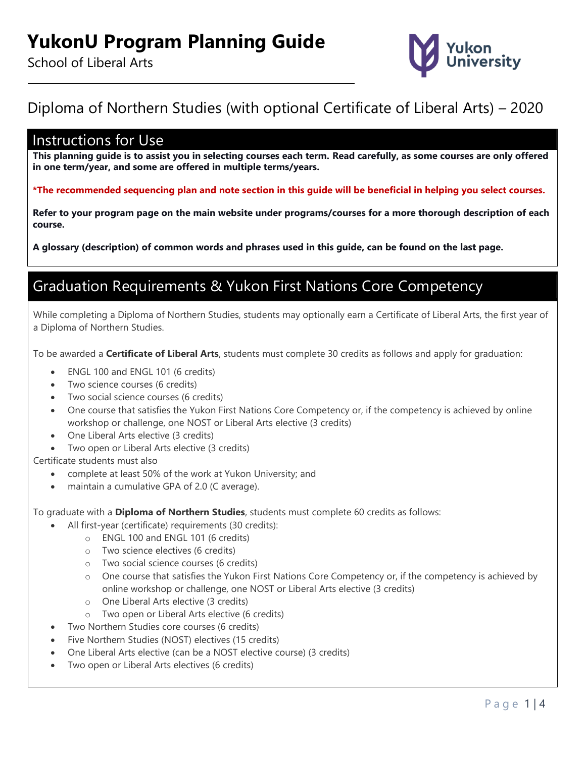

# Diploma of Northern Studies (with optional Certificate of Liberal Arts) – 2020

### Instructions for Use

**This planning guide is to assist you in selecting courses each term. Read carefully, as some courses are only offered in one term/year, and some are offered in multiple terms/years.**

**\*The recommended sequencing plan and note section in this guide will be beneficial in helping you select courses.**

**Refer to your program page on the main website under programs/courses for a more thorough description of each course.**

**A glossary (description) of common words and phrases used in this guide, can be found on the last page.**

## Graduation Requirements & Yukon First Nations Core Competency

While completing a Diploma of Northern Studies, students may optionally earn a Certificate of Liberal Arts, the first year of a Diploma of Northern Studies.

To be awarded a **Certificate of Liberal Arts**, students must complete 30 credits as follows and apply for graduation:

- ENGL 100 and ENGL 101 (6 credits)
- Two science courses (6 credits)
- Two social science courses (6 credits)
- One course that satisfies the Yukon First Nations Core Competency or, if the competency is achieved by online workshop or challenge, one NOST or Liberal Arts elective (3 credits)
- One Liberal Arts elective (3 credits)
- Two open or Liberal Arts elective (3 credits)

Certificate students must also

- complete at least 50% of the work at Yukon University; and
- maintain a cumulative GPA of 2.0 (C average).

To graduate with a **Diploma of Northern Studies**, students must complete 60 credits as follows:

- All first-year (certificate) requirements (30 credits):
	- o ENGL 100 and ENGL 101 (6 credits)
	- o Two science electives (6 credits)
	- o Two social science courses (6 credits)
	- o One course that satisfies the Yukon First Nations Core Competency or, if the competency is achieved by online workshop or challenge, one NOST or Liberal Arts elective (3 credits)
	- o One Liberal Arts elective (3 credits)
	- o Two open or Liberal Arts elective (6 credits)
- Two Northern Studies core courses (6 credits)
- Five Northern Studies (NOST) electives (15 credits)
- One Liberal Arts elective (can be a NOST elective course) (3 credits)
- Two open or Liberal Arts electives (6 credits)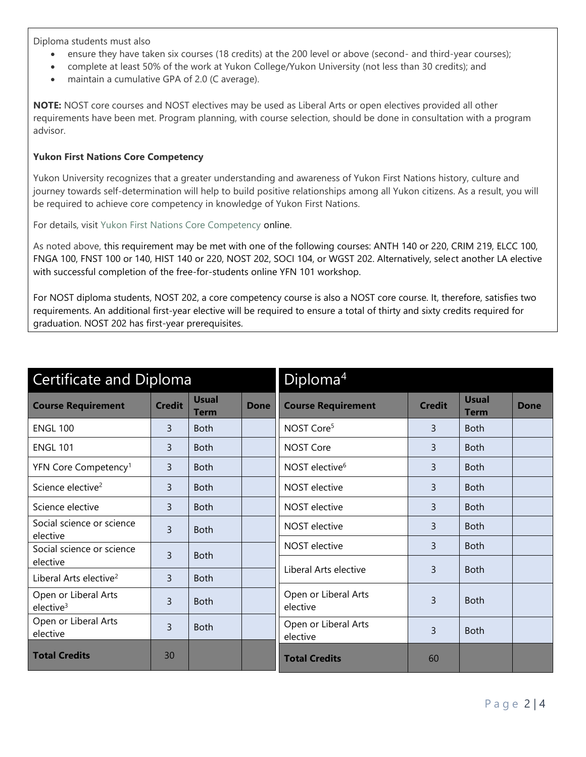Diploma students must also

- ensure they have taken six courses (18 credits) at the 200 level or above (second- and third-year courses);
- complete at least 50% of the work at Yukon College/Yukon University (not less than 30 credits); and
- maintain a cumulative GPA of 2.0 (C average).

**NOTE:** NOST core courses and NOST electives may be used as Liberal Arts or open electives provided all other requirements have been met. Program planning, with course selection, should be done in consultation with a program advisor.

### **Yukon First Nations Core Competency**

Yukon University recognizes that a greater understanding and awareness of Yukon First Nations history, culture and journey towards self-determination will help to build positive relationships among all Yukon citizens. As a result, you will be required to achieve core competency in knowledge of Yukon First Nations.

For details, visit [Yukon First Nations Core Competency](http://www.yukoncollege.yk.ca/yukon-first-nations-core-competency) online.

As noted above, this requirement may be met with one of the following courses: ANTH 140 or 220, CRIM 219, ELCC 100, FNGA 100, FNST 100 or 140, HIST 140 or 220, NOST 202, SOCI 104, or WGST 202. Alternatively, select another LA elective with successful completion of the free-for-students online YFN 101 workshop.

For NOST diploma students, NOST 202, a core competency course is also a NOST core course. It, therefore, satisfies two requirements. An additional first-year elective will be required to ensure a total of thirty and sixty credits required for graduation. NOST 202 has first-year prerequisites.

| <b>Certificate and Diploma</b>                |               |                             |             | Diploma <sup>4</sup>             |                |                             |             |
|-----------------------------------------------|---------------|-----------------------------|-------------|----------------------------------|----------------|-----------------------------|-------------|
| <b>Course Requirement</b>                     | <b>Credit</b> | <b>Usual</b><br><b>Term</b> | <b>Done</b> | <b>Course Requirement</b>        | <b>Credit</b>  | <b>Usual</b><br><b>Term</b> | <b>Done</b> |
| <b>ENGL 100</b>                               | 3             | <b>Both</b>                 |             | NOST Core <sup>5</sup>           | $\overline{3}$ | <b>Both</b>                 |             |
| <b>ENGL 101</b>                               | 3             | <b>Both</b>                 |             | <b>NOST Core</b>                 | $\overline{3}$ | <b>Both</b>                 |             |
| YFN Core Competency <sup>1</sup>              | 3             | <b>Both</b>                 |             | NOST elective <sup>6</sup>       | $\overline{3}$ | <b>Both</b>                 |             |
| Science elective <sup>2</sup>                 | 3             | <b>Both</b>                 |             | <b>NOST</b> elective             | $\overline{3}$ | <b>Both</b>                 |             |
| Science elective                              | 3             | <b>Both</b>                 |             | <b>NOST</b> elective             | 3              | <b>Both</b>                 |             |
| Social science or science<br>elective         | 3             | <b>Both</b>                 |             | NOST elective                    | 3              | <b>Both</b>                 |             |
| Social science or science                     | 3             | <b>Both</b>                 |             | <b>NOST</b> elective             | $\overline{3}$ | <b>Both</b>                 |             |
| elective                                      |               |                             |             | Liberal Arts elective            | 3              | <b>Both</b>                 |             |
| Liberal Arts elective <sup>2</sup>            | 3             | <b>Both</b>                 |             |                                  |                |                             |             |
| Open or Liberal Arts<br>elective <sup>3</sup> | 3             | <b>Both</b>                 |             | Open or Liberal Arts<br>elective | 3              | <b>Both</b>                 |             |
| Open or Liberal Arts<br>elective              | 3             | <b>Both</b>                 |             | Open or Liberal Arts<br>elective | 3              | <b>Both</b>                 |             |
| <b>Total Credits</b>                          | 30            |                             |             | <b>Total Credits</b>             | 60             |                             |             |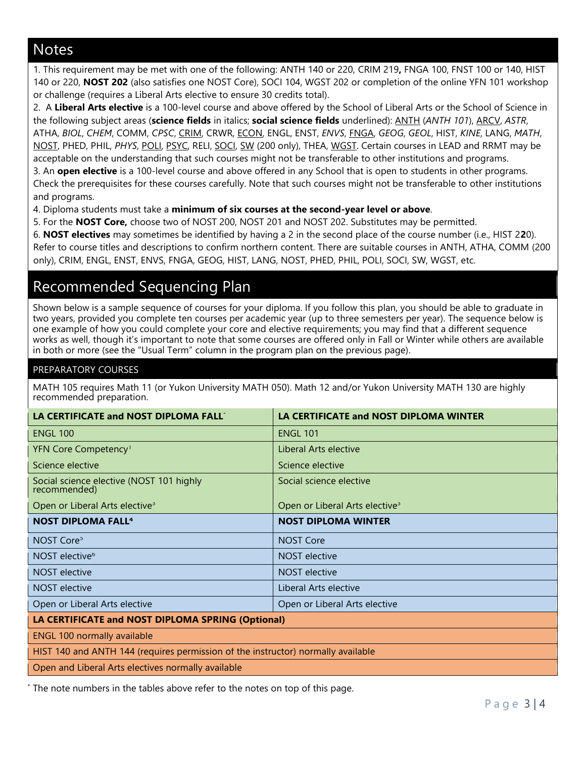## **Notes**

1. This requirement may be met with one of the following: ANTH 140 or 220, CRIM 219**,** FNGA 100, FNST 100 or 140, HIST 140 or 220, **NOST 202** (also satisfies one NOST Core), SOCI 104, WGST 202 or completion of the online YFN 101 workshop or challenge (requires a Liberal Arts elective to ensure 30 credits total).

2. A **Liberal Arts elective** is a 100-level course and above offered by the School of Liberal Arts or the School of Science in the following subject areas (**science fields** in italics; **social science fields** underlined): ANTH (*ANTH 101*), ARCV, *ASTR*, ATHA, *BIOL*, *CHEM*, COMM, *CPSC*, CRIM, CRWR, ECON, ENGL, ENST, *ENVS*, FNGA, *GEOG*, *GEOL*, HIST, *KINE*, LANG, *MATH*, NOST, PHED, PHIL, *PHYS*, POLI, PSYC, RELI, SOCI, SW (200 only), THEA, WGST. Certain courses in LEAD and RRMT may be acceptable on the understanding that such courses might not be transferable to other institutions and programs. 3. An **open elective** is a 100-level course and above offered in any School that is open to students in other programs. Check the prerequisites for these courses carefully. Note that such courses might not be transferable to other institutions

and programs.

4. Diploma students must take a **minimum of six courses at the second-year level or above**.

5. For the **NOST Core,** choose two of NOST 200, NOST 201 and NOST 202. Substitutes may be permitted.

6. **NOST electives** may sometimes be identified by having a 2 in the second place of the course number (i.e., HIST 2**2**0). Refer to course titles and descriptions to confirm northern content. There are suitable courses in ANTH, ATHA, COMM (200 only), CRIM, ENGL, ENST, ENVS, FNGA, GEOG, HIST, LANG, NOST, PHED, PHIL, POLI, SOCI, SW, WGST, etc.

# Recommended Sequencing Plan

Shown below is a sample sequence of courses for your diploma. If you follow this plan, you should be able to graduate in two years, provided you complete ten courses per academic year (up to three semesters per year). The sequence below is one example of how you could complete your core and elective requirements; you may find that a different sequence works as well, though it's important to note that some courses are offered only in Fall or Winter while others are available in both or more (see the "Usual Term" column in the program plan on the previous page).

### PREPARATORY COURSES

MATH 105 requires Math 11 (or Yukon University MATH 050). Math 12 and/or Yukon University MATH 130 are highly recommended preparation.

| LA CERTIFICATE and NOST DIPLOMA FALL <sup>®</sup>                                | LA CERTIFICATE and NOST DIPLOMA WINTER     |  |  |  |  |
|----------------------------------------------------------------------------------|--------------------------------------------|--|--|--|--|
| <b>ENGL 100</b>                                                                  | <b>ENGL 101</b>                            |  |  |  |  |
| YFN Core Competency <sup>1</sup>                                                 | Liberal Arts elective                      |  |  |  |  |
| Science elective                                                                 | Science elective                           |  |  |  |  |
| Social science elective (NOST 101 highly<br>recommended)                         | Social science elective                    |  |  |  |  |
| Open or Liberal Arts elective <sup>3</sup>                                       | Open or Liberal Arts elective <sup>3</sup> |  |  |  |  |
| <b>NOST DIPLOMA FALL<sup>4</sup></b>                                             | <b>NOST DIPLOMA WINTER</b>                 |  |  |  |  |
| NOST Core <sup>5</sup>                                                           | <b>NOST Core</b>                           |  |  |  |  |
| NOST elective <sup>6</sup>                                                       | NOST elective                              |  |  |  |  |
| <b>NOST</b> elective                                                             | <b>NOST</b> elective                       |  |  |  |  |
| <b>NOST</b> elective                                                             | Liberal Arts elective                      |  |  |  |  |
| Open or Liberal Arts elective                                                    | Open or Liberal Arts elective              |  |  |  |  |
| LA CERTIFICATE and NOST DIPLOMA SPRING (Optional)                                |                                            |  |  |  |  |
| <b>ENGL 100 normally available</b>                                               |                                            |  |  |  |  |
| HIST 140 and ANTH 144 (requires permission of the instructor) normally available |                                            |  |  |  |  |
| Open and Liberal Arts electives normally available                               |                                            |  |  |  |  |

\* The note numbers in the tables above refer to the notes on top of this page.